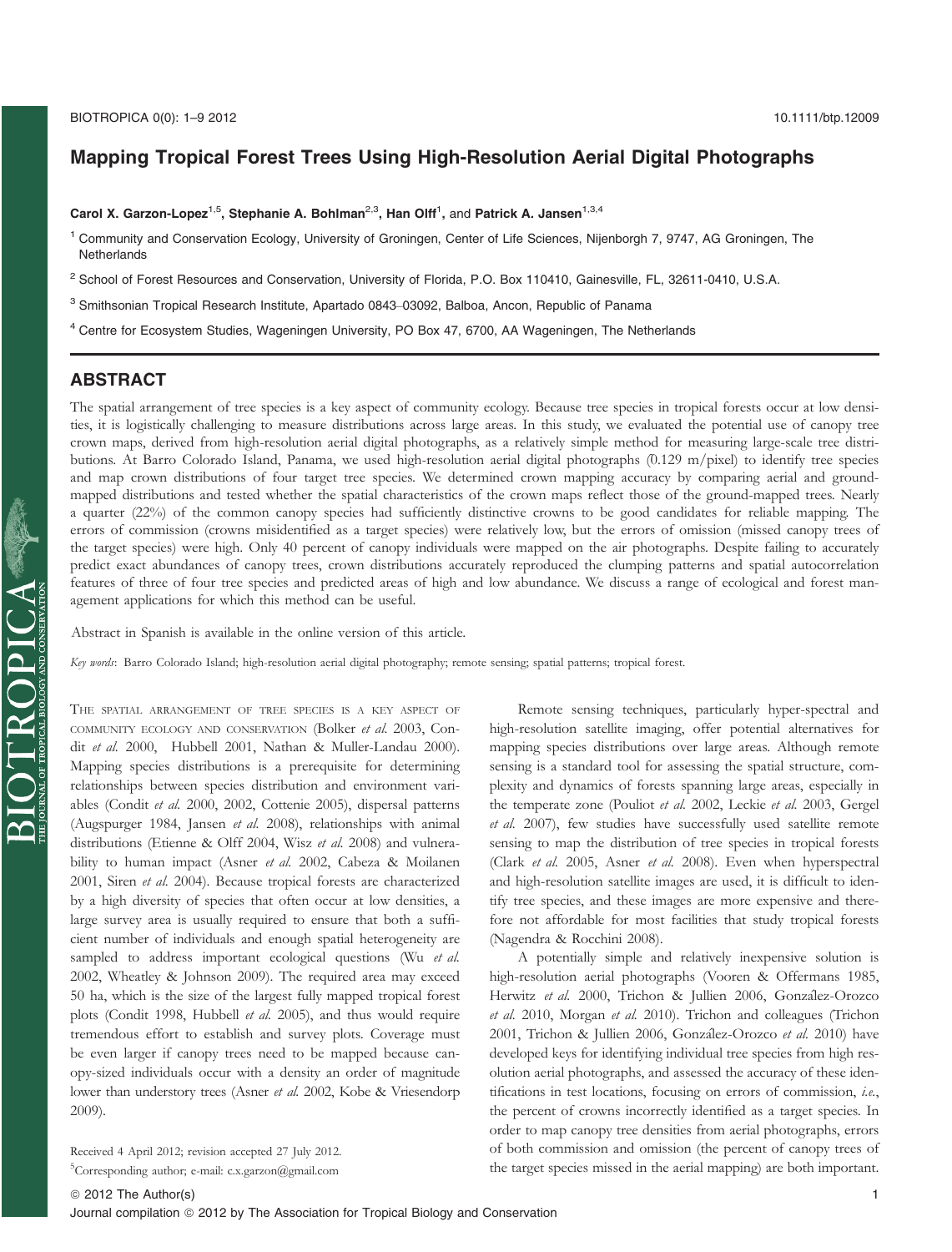## Mapping Tropical Forest Trees Using High-Resolution Aerial Digital Photographs

## Carol X. Garzon-Lopez<sup>1,5</sup>, Stephanie A. Bohlman<sup>2,3</sup>, Han Olff<sup>1</sup>, and Patrick A. Jansen<sup>1,3,4</sup>

- <sup>1</sup> Community and Conservation Ecology, University of Groningen, Center of Life Sciences, Nijenborgh 7, 9747, AG Groningen, The **Netherlands**
- <sup>2</sup> School of Forest Resources and Conservation, University of Florida, P.O. Box 110410, Gainesville, FL, 32611-0410, U.S.A.

<sup>3</sup> Smithsonian Tropical Research Institute, Apartado 0843–03092, Balboa, Ancon, Republic of Panama

<sup>4</sup> Centre for Ecosystem Studies, Wageningen University, PO Box 47, 6700, AA Wageningen, The Netherlands

#### **ABSTRACT** ABSTRACT

The spatial arrangement of tree species is a key aspect of community ecology. Because tree species in tropical forests occur at low densities, it is logistically challenging to measure distributions across large areas. In this study, we evaluated the potential use of canopy tree crown maps, derived from high-resolution aerial digital photographs, as a relatively simple method for measuring large-scale tree distributions. At Barro Colorado Island, Panama, we used high-resolution aerial digital photographs (0.129 m/pixel) to identify tree species and map crown distributions of four target tree species. We determined crown mapping accuracy by comparing aerial and groundmapped distributions and tested whether the spatial characteristics of the crown maps reflect those of the ground-mapped trees. Nearly a quarter (22%) of the common canopy species had sufficiently distinctive crowns to be good candidates for reliable mapping. The errors of commission (crowns misidentified as a target species) were relatively low, but the errors of omission (missed canopy trees of the target species) were high. Only 40 percent of canopy individuals were mapped on the air photographs. Despite failing to accurately predict exact abundances of canopy trees, crown distributions accurately reproduced the clumping patterns and spatial autocorrelation features of three of four tree species and predicted areas of high and low abundance. We discuss a range of ecological and forest management applications for which this method can be useful.

Abstract in Spanish is available in the online version of this article.

Key words: Barro Colorado Island; high-resolution aerial digital photography; remote sensing; spatial patterns; tropical forest.

THE SPATIAL ARRANGEMENT OF TREE SPECIES IS A KEY ASPECT OF COMMUNITY ECOLOGY AND CONSERVATION (Bolker et al. 2003, Condit et al. 2000, Hubbell 2001, Nathan & Muller-Landau 2000). Mapping species distributions is a prerequisite for determining relationships between species distribution and environment variables (Condit et al. 2000, 2002, Cottenie 2005), dispersal patterns (Augspurger 1984, Jansen et al. 2008), relationships with animal distributions (Etienne & Olff 2004, Wisz et al. 2008) and vulnerability to human impact (Asner et al. 2002, Cabeza & Moilanen 2001, Siren et al. 2004). Because tropical forests are characterized by a high diversity of species that often occur at low densities, a large survey area is usually required to ensure that both a sufficient number of individuals and enough spatial heterogeneity are sampled to address important ecological questions (Wu et al. 2002, Wheatley & Johnson 2009). The required area may exceed 50 ha, which is the size of the largest fully mapped tropical forest plots (Condit 1998, Hubbell et al. 2005), and thus would require tremendous effort to establish and survey plots. Coverage must be even larger if canopy trees need to be mapped because canopy-sized individuals occur with a density an order of magnitude lower than understory trees (Asner et al. 2002, Kobe & Vriesendorp 2009).

Received 4 April 2012; revision accepted 27 July 2012. 5 Corresponding author; e-mail: c.x.garzon@gmail.com

Remote sensing techniques, particularly hyper-spectral and high-resolution satellite imaging, offer potential alternatives for mapping species distributions over large areas. Although remote sensing is a standard tool for assessing the spatial structure, complexity and dynamics of forests spanning large areas, especially in the temperate zone (Pouliot et al. 2002, Leckie et al. 2003, Gergel et al. 2007), few studies have successfully used satellite remote sensing to map the distribution of tree species in tropical forests (Clark et al. 2005, Asner et al. 2008). Even when hyperspectral and high-resolution satellite images are used, it is difficult to identify tree species, and these images are more expensive and therefore not affordable for most facilities that study tropical forests (Nagendra & Rocchini 2008).

A potentially simple and relatively inexpensive solution is high-resolution aerial photographs (Vooren & Offermans 1985, Herwitz et al. 2000, Trichon & Jullien 2006, González-Orozco et al. 2010, Morgan et al. 2010). Trichon and colleagues (Trichon 2001, Trichon & Jullien 2006, González-Orozco et al. 2010) have developed keys for identifying individual tree species from high resolution aerial photographs, and assessed the accuracy of these identifications in test locations, focusing on errors of commission, i.e., the percent of crowns incorrectly identified as a target species. In order to map canopy tree densities from aerial photographs, errors of both commission and omission (the percent of canopy trees of the target species missed in the aerial mapping) are both important.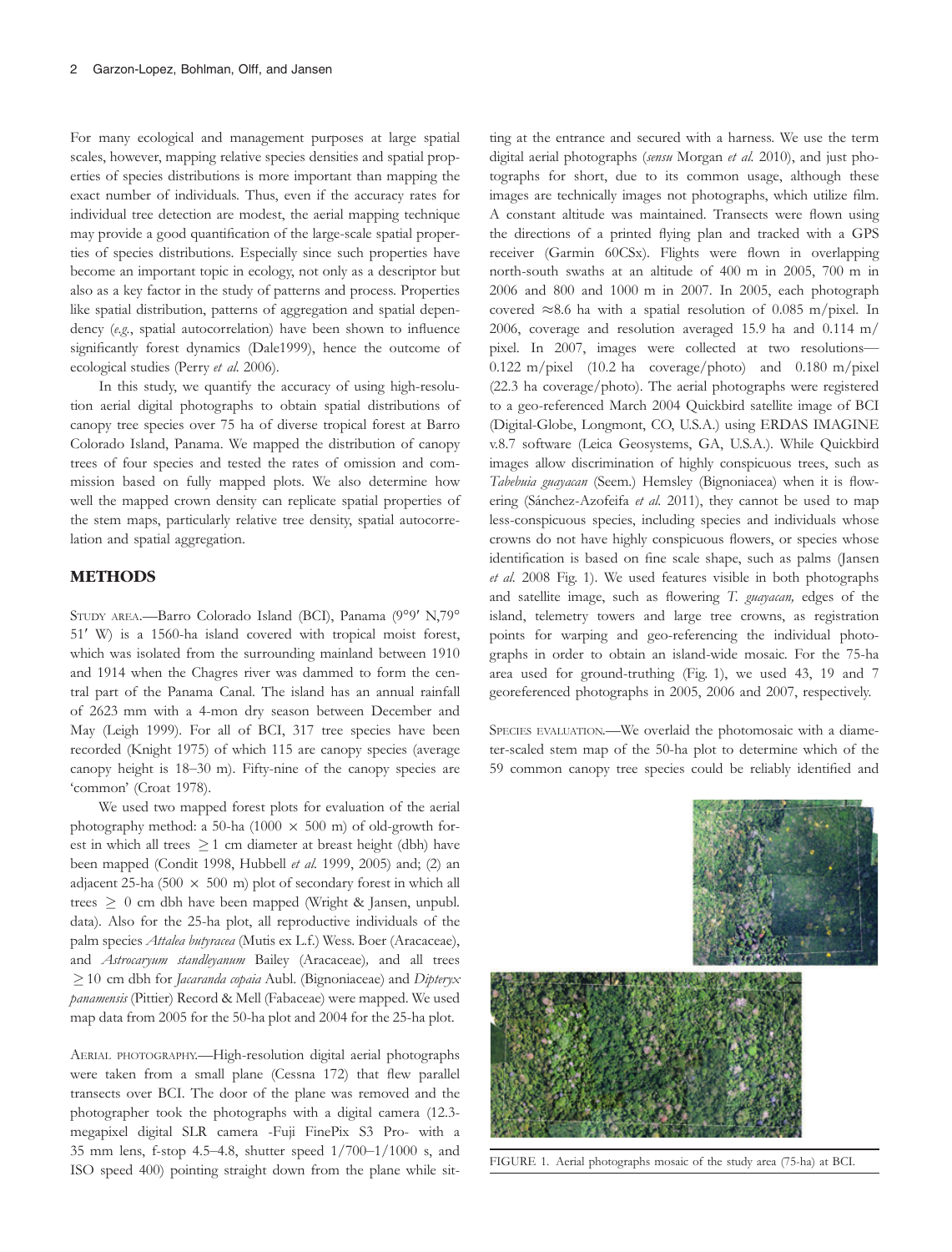For many ecological and management purposes at large spatial scales, however, mapping relative species densities and spatial properties of species distributions is more important than mapping the exact number of individuals. Thus, even if the accuracy rates for individual tree detection are modest, the aerial mapping technique may provide a good quantification of the large-scale spatial properties of species distributions. Especially since such properties have become an important topic in ecology, not only as a descriptor but also as a key factor in the study of patterns and process. Properties like spatial distribution, patterns of aggregation and spatial dependency (e.g., spatial autocorrelation) have been shown to influence significantly forest dynamics (Dale1999), hence the outcome of ecological studies (Perry et al. 2006).

In this study, we quantify the accuracy of using high-resolution aerial digital photographs to obtain spatial distributions of canopy tree species over 75 ha of diverse tropical forest at Barro Colorado Island, Panama. We mapped the distribution of canopy trees of four species and tested the rates of omission and commission based on fully mapped plots. We also determine how well the mapped crown density can replicate spatial properties of the stem maps, particularly relative tree density, spatial autocorrelation and spatial aggregation.

### METHODS

STUDY AREA.—Barro Colorado Island (BCI), Panama (9°9′ N,79° 51′ W) is a 1560-ha island covered with tropical moist forest, which was isolated from the surrounding mainland between 1910 and 1914 when the Chagres river was dammed to form the central part of the Panama Canal. The island has an annual rainfall of 2623 mm with a 4-mon dry season between December and May (Leigh 1999). For all of BCI, 317 tree species have been recorded (Knight 1975) of which 115 are canopy species (average canopy height is 18–30 m). Fifty-nine of the canopy species are 'common' (Croat 1978).

We used two mapped forest plots for evaluation of the aerial photography method: a 50-ha (1000  $\times$  500 m) of old-growth forest in which all trees  $\geq 1$  cm diameter at breast height (dbh) have been mapped (Condit 1998, Hubbell et al. 1999, 2005) and; (2) an adjacent 25-ha (500  $\times$  500 m) plot of secondary forest in which all trees  $\geq 0$  cm dbh have been mapped (Wright & Jansen, unpubl. data). Also for the 25-ha plot, all reproductive individuals of the palm species Attalea butyracea (Mutis ex L.f.) Wess. Boer (Aracaceae), and Astrocaryum standleyanum Bailey (Aracaceae), and all trees  $\geq$  10 cm dbh for *Jacaranda copaia* Aubl. (Bignoniaceae) and *Dipteryx* panamensis (Pittier) Record & Mell (Fabaceae) were mapped. We used map data from 2005 for the 50-ha plot and 2004 for the 25-ha plot.

AERIAL PHOTOGRAPHY.—High-resolution digital aerial photographs were taken from a small plane (Cessna 172) that flew parallel transects over BCI. The door of the plane was removed and the photographer took the photographs with a digital camera (12.3 megapixel digital SLR camera -Fuji FinePix S3 Pro- with a 35 mm lens, f-stop 4.5–4.8, shutter speed 1/700–1/1000 s, and ISO speed 400) pointing straight down from the plane while sitting at the entrance and secured with a harness. We use the term digital aerial photographs (sensu Morgan et al. 2010), and just photographs for short, due to its common usage, although these images are technically images not photographs, which utilize film. A constant altitude was maintained. Transects were flown using the directions of a printed flying plan and tracked with a GPS receiver (Garmin 60CSx). Flights were flown in overlapping north-south swaths at an altitude of 400 m in 2005, 700 m in 2006 and 800 and 1000 m in 2007. In 2005, each photograph covered  $\approx$ 8.6 ha with a spatial resolution of 0.085 m/pixel. In 2006, coverage and resolution averaged 15.9 ha and 0.114 m/ pixel. In 2007, images were collected at two resolutions— 0.122 m/pixel (10.2 ha coverage/photo) and 0.180 m/pixel (22.3 ha coverage/photo). The aerial photographs were registered to a geo-referenced March 2004 Quickbird satellite image of BCI (Digital-Globe, Longmont, CO, U.S.A.) using ERDAS IMAGINE v.8.7 software (Leica Geosystems, GA, U.S.A.). While Quickbird images allow discrimination of highly conspicuous trees, such as Tabebuia guayacan (Seem.) Hemsley (Bignoniacea) when it is flowering (Sánchez-Azofeifa et al. 2011), they cannot be used to map less-conspicuous species, including species and individuals whose crowns do not have highly conspicuous flowers, or species whose identification is based on fine scale shape, such as palms (Jansen et al. 2008 Fig. 1). We used features visible in both photographs and satellite image, such as flowering T. guayacan, edges of the island, telemetry towers and large tree crowns, as registration points for warping and geo-referencing the individual photographs in order to obtain an island-wide mosaic. For the 75-ha area used for ground-truthing (Fig. 1), we used 43, 19 and 7 georeferenced photographs in 2005, 2006 and 2007, respectively.

SPECIES EVALUATION.—We overlaid the photomosaic with a diameter-scaled stem map of the 50-ha plot to determine which of the 59 common canopy tree species could be reliably identified and



FIGURE 1. Aerial photographs mosaic of the study area (75-ha) at BCI.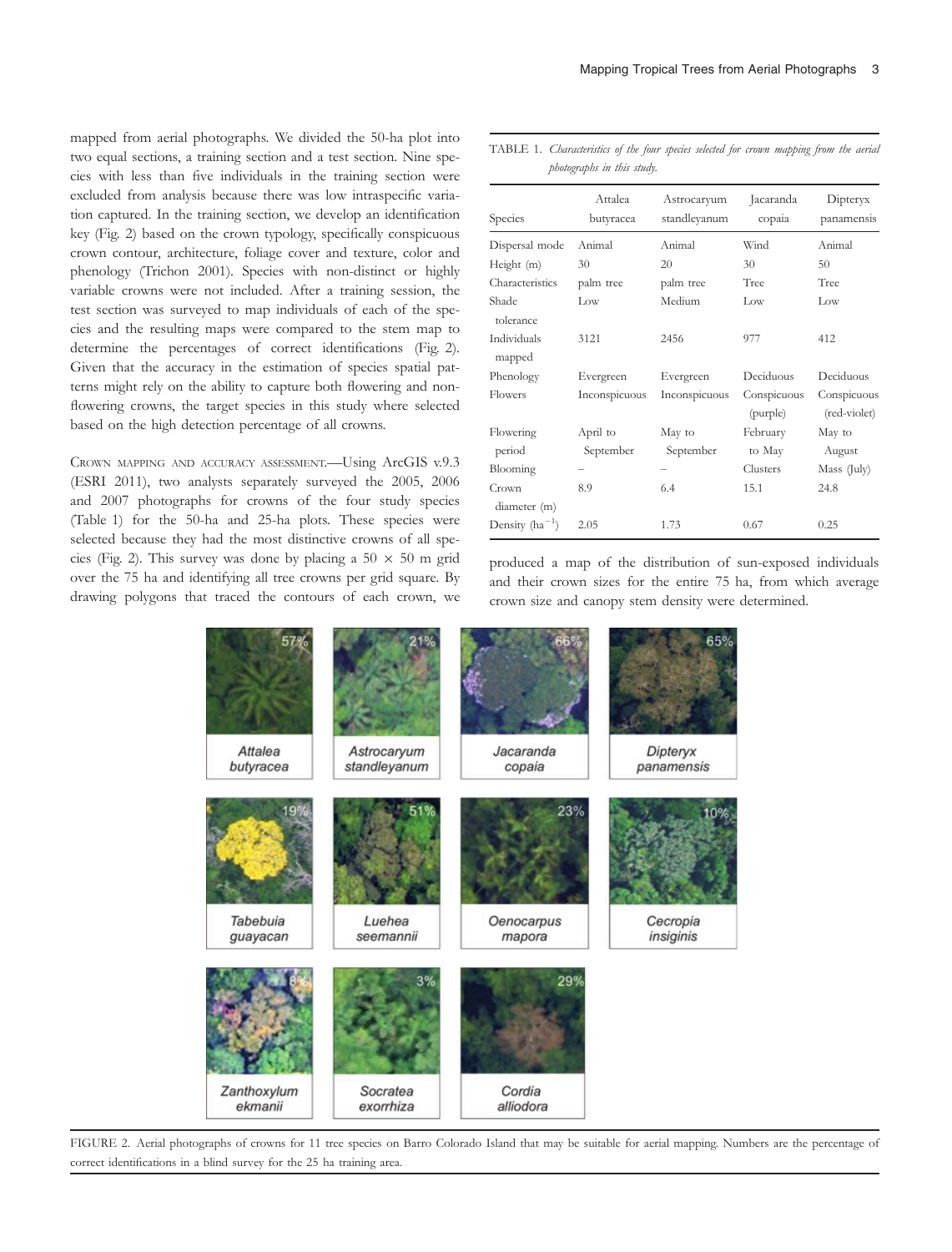mapped from aerial photographs. We divided the 50-ha plot into two equal sections, a training section and a test section. Nine species with less than five individuals in the training section were excluded from analysis because there was low intraspecific variation captured. In the training section, we develop an identification key (Fig. 2) based on the crown typology, specifically conspicuous crown contour, architecture, foliage cover and texture, color and phenology (Trichon 2001). Species with non-distinct or highly variable crowns were not included. After a training session, the test section was surveyed to map individuals of each of the species and the resulting maps were compared to the stem map to determine the percentages of correct identifications (Fig. 2). Given that the accuracy in the estimation of species spatial patterns might rely on the ability to capture both flowering and nonflowering crowns, the target species in this study where selected based on the high detection percentage of all crowns.

CROWN MAPPING AND ACCURACY ASSESSMENT.—Using ArcGIS v.9.3 (ESRI 2011), two analysts separately surveyed the 2005, 2006 and 2007 photographs for crowns of the four study species (Table 1) for the 50-ha and 25-ha plots. These species were selected because they had the most distinctive crowns of all species (Fig. 2). This survey was done by placing a  $50 \times 50$  m grid over the 75 ha and identifying all tree crowns per grid square. By drawing polygons that traced the contours of each crown, we

TABLE 1. Characteristics of the four species selected for crown mapping from the aerial photographs in this study.

| Species               | Attalea<br>butyracea  | Astrocaryum<br>standleyanum | Jacaranda<br>copaia     | Dipteryx<br>panamensis      |  |
|-----------------------|-----------------------|-----------------------------|-------------------------|-----------------------------|--|
| Dispersal mode        | Animal                | Animal                      | Wind                    | Animal                      |  |
| Height (m)            | 30                    | 20                          | 30                      | 50                          |  |
| Characteristics       | palm tree             | palm tree                   | <b>Tree</b>             | <b>Tree</b>                 |  |
| Shade<br>tolerance    | Low                   | Medium                      | Low                     | Low                         |  |
| Individuals<br>mapped | 3121                  | 2456                        | 977                     | 412                         |  |
| Phenology             | Evergreen             | Evergreen                   | Deciduous               | Deciduous                   |  |
| Flowers               | Inconspicuous         | Inconspicuous               | Conspicuous<br>(purple) | Conspicuous<br>(red-violet) |  |
| Flowering<br>period   | April to<br>September | May to<br>September         | February<br>to May      | May to<br>August            |  |
| Blooming              |                       |                             | Clusters                | Mass (July)                 |  |
| Crown<br>diameter (m) | 8.9                   | 6.4                         | 15.1                    | 24.8                        |  |
| Density $(ha^{-1})$   | 2.05                  | 1.73                        | 0.67                    | 0.25                        |  |

produced a map of the distribution of sun-exposed individuals and their crown sizes for the entire 75 ha, from which average

crown size and canopy stem density were determined.

Attalea Astrocaryum Jacaranda Dipteryx butyracea standleyanum panamensis copaia 23% Tabebuia Luehea Cecropia Oenocarpus insiginis guayacan seemannii mapora 299 Zanthoxylum Socratea Cordia alliodora ekmanii exorrhiza

FIGURE 2. Aerial photographs of crowns for 11 tree species on Barro Colorado Island that may be suitable for aerial mapping. Numbers are the percentage of correct identifications in a blind survey for the 25 ha training area.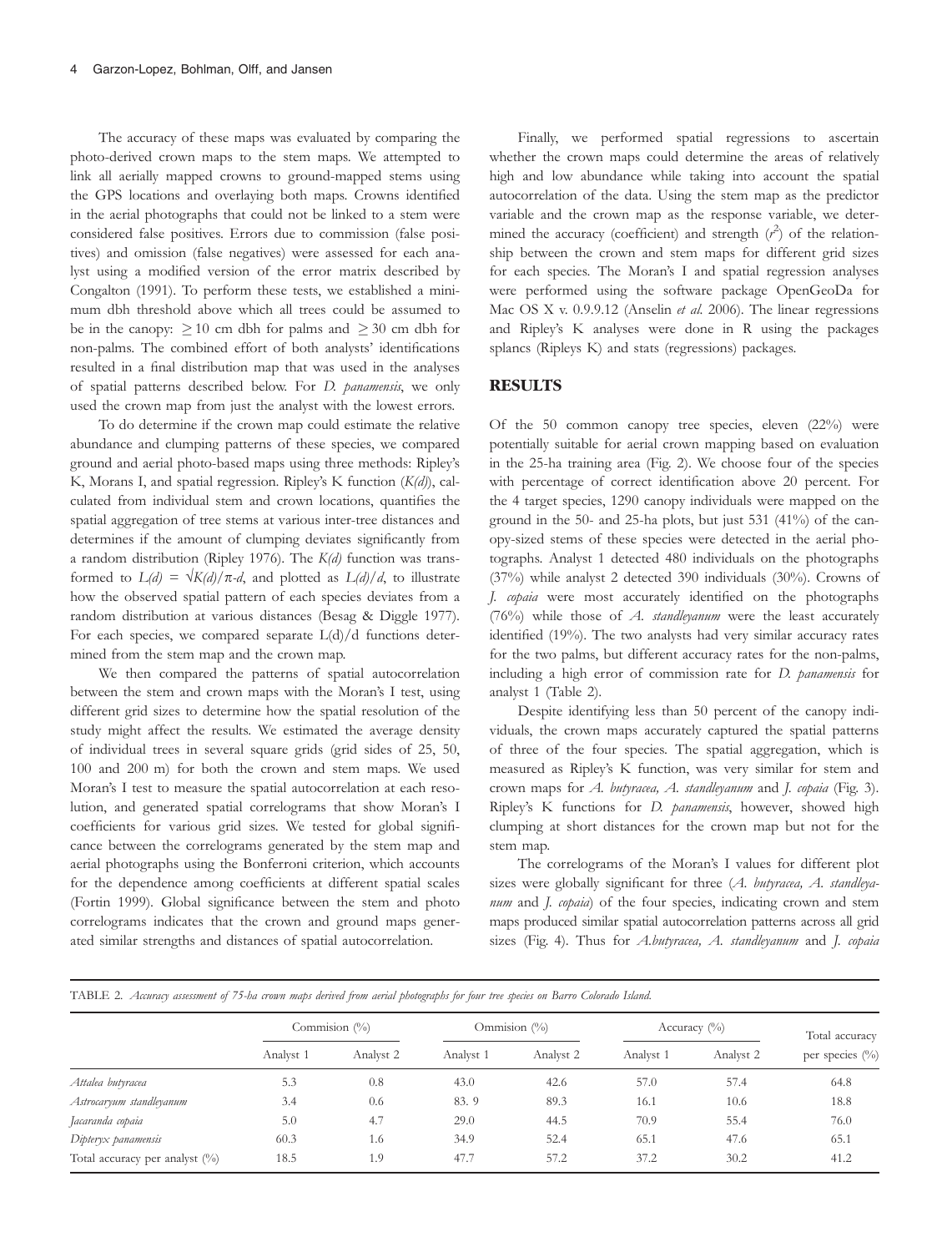The accuracy of these maps was evaluated by comparing the photo-derived crown maps to the stem maps. We attempted to link all aerially mapped crowns to ground-mapped stems using the GPS locations and overlaying both maps. Crowns identified in the aerial photographs that could not be linked to a stem were considered false positives. Errors due to commission (false positives) and omission (false negatives) were assessed for each analyst using a modified version of the error matrix described by Congalton (1991). To perform these tests, we established a minimum dbh threshold above which all trees could be assumed to be in the canopy:  $\geq 10$  cm dbh for palms and  $\geq 30$  cm dbh for non-palms. The combined effort of both analysts' identifications resulted in a final distribution map that was used in the analyses of spatial patterns described below. For D. panamensis, we only used the crown map from just the analyst with the lowest errors.

To do determine if the crown map could estimate the relative abundance and clumping patterns of these species, we compared ground and aerial photo-based maps using three methods: Ripley's K, Morans I, and spatial regression. Ripley's K function  $(K(d))$ , calculated from individual stem and crown locations, quantifies the spatial aggregation of tree stems at various inter-tree distances and determines if the amount of clumping deviates significantly from a random distribution (Ripley 1976). The  $K(d)$  function was transformed to  $L(d) = \sqrt{K(d)/\pi} d$ , and plotted as  $L(d)/d$ , to illustrate how the observed spatial pattern of each species deviates from a random distribution at various distances (Besag & Diggle 1977). For each species, we compared separate L(d)/d functions determined from the stem map and the crown map.

We then compared the patterns of spatial autocorrelation between the stem and crown maps with the Moran's I test, using different grid sizes to determine how the spatial resolution of the study might affect the results. We estimated the average density of individual trees in several square grids (grid sides of 25, 50, 100 and 200 m) for both the crown and stem maps. We used Moran's I test to measure the spatial autocorrelation at each resolution, and generated spatial correlograms that show Moran's I coefficients for various grid sizes. We tested for global significance between the correlograms generated by the stem map and aerial photographs using the Bonferroni criterion, which accounts for the dependence among coefficients at different spatial scales (Fortin 1999). Global significance between the stem and photo correlograms indicates that the crown and ground maps generated similar strengths and distances of spatial autocorrelation.

Finally, we performed spatial regressions to ascertain whether the crown maps could determine the areas of relatively high and low abundance while taking into account the spatial autocorrelation of the data. Using the stem map as the predictor variable and the crown map as the response variable, we determined the accuracy (coefficient) and strength  $(r^2)$  of the relationship between the crown and stem maps for different grid sizes for each species. The Moran's I and spatial regression analyses were performed using the software package OpenGeoDa for Mac OS X v. 0.9.9.12 (Anselin et al. 2006). The linear regressions and Ripley's K analyses were done in R using the packages splancs (Ripleys K) and stats (regressions) packages.

## **RESULTS**

Of the 50 common canopy tree species, eleven (22%) were potentially suitable for aerial crown mapping based on evaluation in the 25-ha training area (Fig. 2). We choose four of the species with percentage of correct identification above 20 percent. For the 4 target species, 1290 canopy individuals were mapped on the ground in the 50- and 25-ha plots, but just 531 (41%) of the canopy-sized stems of these species were detected in the aerial photographs. Analyst 1 detected 480 individuals on the photographs (37%) while analyst 2 detected 390 individuals (30%). Crowns of J. copaia were most accurately identified on the photographs (76%) while those of  $A$ . standleyanum were the least accurately identified (19%). The two analysts had very similar accuracy rates for the two palms, but different accuracy rates for the non-palms, including a high error of commission rate for D. panamensis for analyst 1 (Table 2).

Despite identifying less than 50 percent of the canopy individuals, the crown maps accurately captured the spatial patterns of three of the four species. The spatial aggregation, which is measured as Ripley's K function, was very similar for stem and crown maps for A. butyracea, A. standleyanum and J. copaia (Fig. 3). Ripley's K functions for *D. panamensis*, however, showed high clumping at short distances for the crown map but not for the stem map.

The correlograms of the Moran's I values for different plot sizes were globally significant for three (A. butyracea, A. standleyanum and *J. copaia*) of the four species, indicating crown and stem maps produced similar spatial autocorrelation patterns across all grid sizes (Fig. 4). Thus for A.butyracea, A. standleyanum and J. copaia

|  |  |  |  | TABLE 2. Accuracy assessment of 75-ha crown maps derived from aerial photographs for four tree species on Barro Colorado Island. |
|--|--|--|--|----------------------------------------------------------------------------------------------------------------------------------|
|--|--|--|--|----------------------------------------------------------------------------------------------------------------------------------|

|                                | Commision $\binom{0}{0}$ |           | Ommision $\binom{0}{0}$ |           | Accuracy $(\%)$ |           | Total accuracy     |  |
|--------------------------------|--------------------------|-----------|-------------------------|-----------|-----------------|-----------|--------------------|--|
|                                | Analyst 1                | Analyst 2 | Analyst 1               | Analyst 2 | Analyst 1       | Analyst 2 | per species $(\%)$ |  |
| Attalea butyracea              | 5.3                      | 0.8       | 43.0                    | 42.6      | 57.0            | 57.4      | 64.8               |  |
| Astrocaryum standleyanum       | 3.4                      | 0.6       | 83.9                    | 89.3      | 16.1            | 10.6      | 18.8               |  |
| Jacaranda copaia               | 5.0                      | 4.7       | 29.0                    | 44.5      | 70.9            | 55.4      | 76.0               |  |
| Dipteryx panamensis            | 60.3                     | 1.6       | 34.9                    | 52.4      | 65.1            | 47.6      | 65.1               |  |
| Total accuracy per analyst (%) | 18.5                     | 1.9       | 47.7                    | 57.2      | 37.2            | 30.2      | 41.2               |  |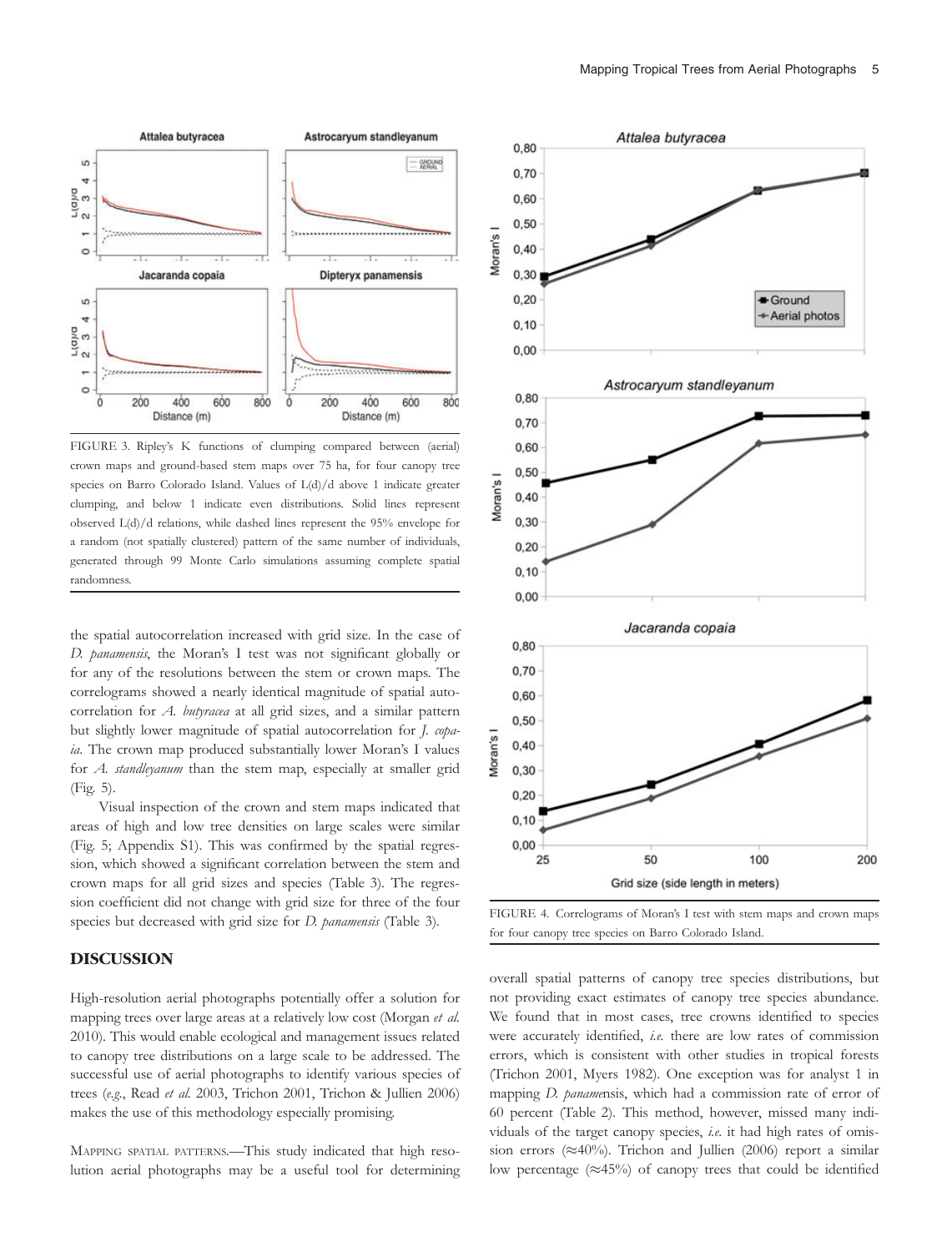

FIGURE 3. Ripley's K functions of clumping compared between (aerial) crown maps and ground-based stem maps over 75 ha, for four canopy tree species on Barro Colorado Island. Values of L(d)/d above 1 indicate greater clumping, and below 1 indicate even distributions. Solid lines represent observed L(d)/d relations, while dashed lines represent the 95% envelope for a random (not spatially clustered) pattern of the same number of individuals, generated through 99 Monte Carlo simulations assuming complete spatial randomness.

the spatial autocorrelation increased with grid size. In the case of D. panamensis, the Moran's I test was not significant globally or for any of the resolutions between the stem or crown maps. The correlograms showed a nearly identical magnitude of spatial autocorrelation for A. butyracea at all grid sizes, and a similar pattern but slightly lower magnitude of spatial autocorrelation for *J. copa*ia. The crown map produced substantially lower Moran's I values for A. standleyanum than the stem map, especially at smaller grid (Fig. 5).

Visual inspection of the crown and stem maps indicated that areas of high and low tree densities on large scales were similar (Fig. 5; Appendix S1). This was confirmed by the spatial regression, which showed a significant correlation between the stem and crown maps for all grid sizes and species (Table 3). The regression coefficient did not change with grid size for three of the four species but decreased with grid size for *D. panamensis* (Table 3).

### DISCUSSION

High-resolution aerial photographs potentially offer a solution for mapping trees over large areas at a relatively low cost (Morgan et al. 2010). This would enable ecological and management issues related to canopy tree distributions on a large scale to be addressed. The successful use of aerial photographs to identify various species of trees (e.g., Read et al. 2003, Trichon 2001, Trichon & Jullien 2006) makes the use of this methodology especially promising.

MAPPING SPATIAL PATTERNS.—This study indicated that high resolution aerial photographs may be a useful tool for determining



FIGURE 4. Correlograms of Moran's I test with stem maps and crown maps for four canopy tree species on Barro Colorado Island.

overall spatial patterns of canopy tree species distributions, but not providing exact estimates of canopy tree species abundance. We found that in most cases, tree crowns identified to species were accurately identified, *i.e.* there are low rates of commission errors, which is consistent with other studies in tropical forests (Trichon 2001, Myers 1982). One exception was for analyst 1 in mapping *D. panamensis*, which had a commission rate of error of 60 percent (Table 2). This method, however, missed many individuals of the target canopy species, *i.e.* it had high rates of omission errors ( $\approx$ 40%). Trichon and Jullien (2006) report a similar low percentage  $(\approx 45\%)$  of canopy trees that could be identified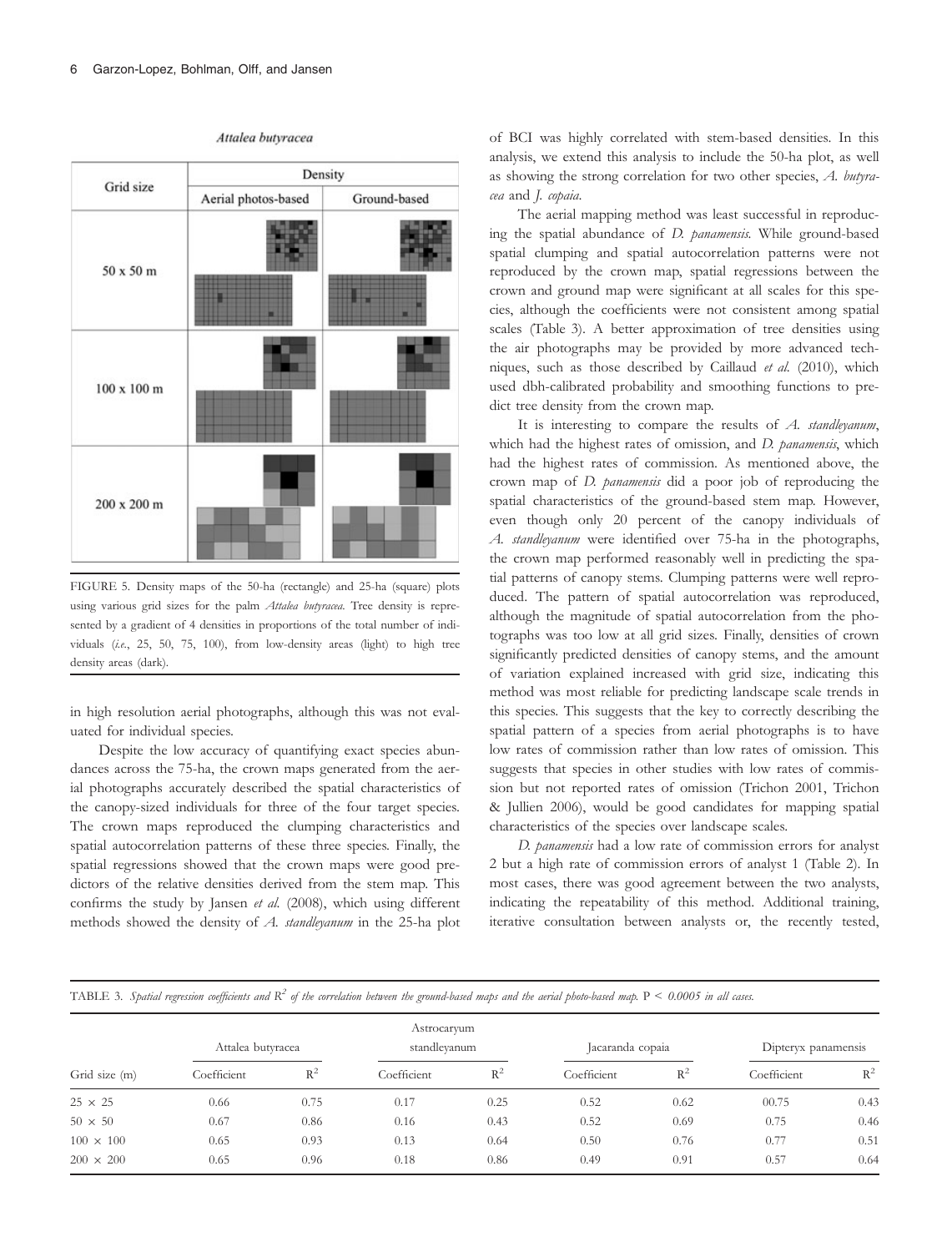

#### Attalea butyracea

FIGURE 5. Density maps of the 50-ha (rectangle) and 25-ha (square) plots using various grid sizes for the palm Attalea butyracea. Tree density is represented by a gradient of 4 densities in proportions of the total number of individuals (i.e., 25, 50, 75, 100), from low-density areas (light) to high tree density areas (dark).

in high resolution aerial photographs, although this was not evaluated for individual species.

Despite the low accuracy of quantifying exact species abundances across the 75-ha, the crown maps generated from the aerial photographs accurately described the spatial characteristics of the canopy-sized individuals for three of the four target species. The crown maps reproduced the clumping characteristics and spatial autocorrelation patterns of these three species. Finally, the spatial regressions showed that the crown maps were good predictors of the relative densities derived from the stem map. This confirms the study by Jansen et al. (2008), which using different methods showed the density of A. standleyanum in the 25-ha plot

of BCI was highly correlated with stem-based densities. In this analysis, we extend this analysis to include the 50-ha plot, as well as showing the strong correlation for two other species, A. butyracea and J. copaia.

The aerial mapping method was least successful in reproducing the spatial abundance of D. panamensis. While ground-based spatial clumping and spatial autocorrelation patterns were not reproduced by the crown map, spatial regressions between the crown and ground map were significant at all scales for this species, although the coefficients were not consistent among spatial scales (Table 3). A better approximation of tree densities using the air photographs may be provided by more advanced techniques, such as those described by Caillaud et al. (2010), which used dbh-calibrated probability and smoothing functions to predict tree density from the crown map.

It is interesting to compare the results of  $A$ . standleyanum, which had the highest rates of omission, and *D. panamensis*, which had the highest rates of commission. As mentioned above, the crown map of D. panamensis did a poor job of reproducing the spatial characteristics of the ground-based stem map. However, even though only 20 percent of the canopy individuals of A. standleyanum were identified over 75-ha in the photographs, the crown map performed reasonably well in predicting the spatial patterns of canopy stems. Clumping patterns were well reproduced. The pattern of spatial autocorrelation was reproduced, although the magnitude of spatial autocorrelation from the photographs was too low at all grid sizes. Finally, densities of crown significantly predicted densities of canopy stems, and the amount of variation explained increased with grid size, indicating this method was most reliable for predicting landscape scale trends in this species. This suggests that the key to correctly describing the spatial pattern of a species from aerial photographs is to have low rates of commission rather than low rates of omission. This suggests that species in other studies with low rates of commission but not reported rates of omission (Trichon 2001, Trichon & Jullien 2006), would be good candidates for mapping spatial characteristics of the species over landscape scales.

D. panamensis had a low rate of commission errors for analyst 2 but a high rate of commission errors of analyst 1 (Table 2). In most cases, there was good agreement between the two analysts, indicating the repeatability of this method. Additional training, iterative consultation between analysts or, the recently tested,

TABLE 3. Spatial regression coefficients and  $R^2$  of the correlation between the ground-based maps and the aerial photo-based map.  $P < 0.0005$  in all cases.

|                  | Attalea butyracea |       |             | Astrocaryum<br>standlevanum |             | Jacaranda copaia |             | Dipteryx panamensis |  |
|------------------|-------------------|-------|-------------|-----------------------------|-------------|------------------|-------------|---------------------|--|
| Grid size (m)    | Coefficient       | $R^2$ | Coefficient | $R^2$                       | Coefficient | $R^2$            | Coefficient | $R^2$               |  |
| $25 \times 25$   | 0.66              | 0.75  | 0.17        | 0.25                        | 0.52        | 0.62             | 00.75       | 0.43                |  |
| $50 \times 50$   | 0.67              | 0.86  | 0.16        | 0.43                        | 0.52        | 0.69             | 0.75        | 0.46                |  |
| $100 \times 100$ | 0.65              | 0.93  | 0.13        | 0.64                        | 0.50        | 0.76             | 0.77        | 0.51                |  |
| $200 \times 200$ | 0.65              | 0.96  | 0.18        | 0.86                        | 0.49        | 0.91             | 0.57        | 0.64                |  |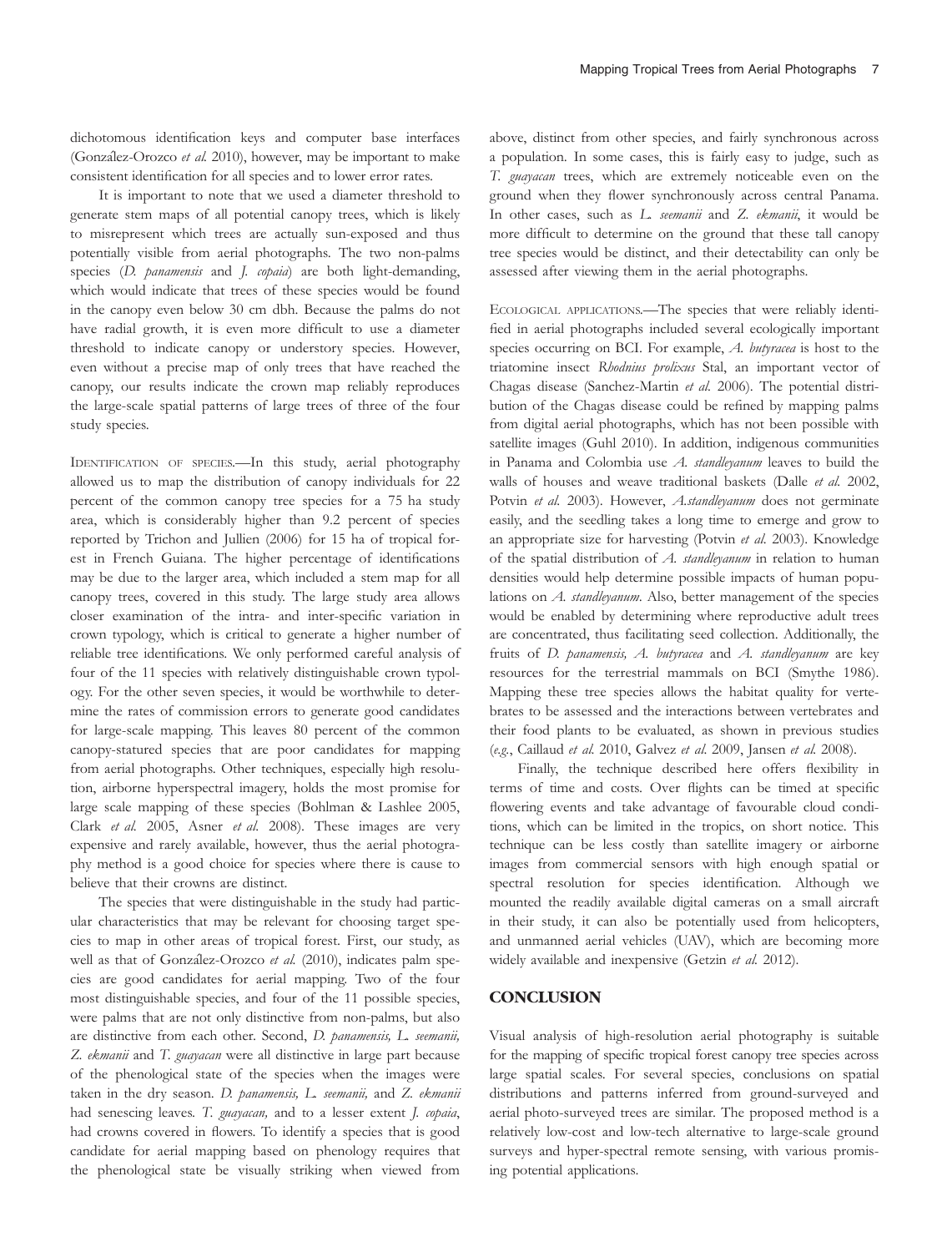dichotomous identification keys and computer base interfaces (González-Orozco et al. 2010), however, may be important to make consistent identification for all species and to lower error rates.

It is important to note that we used a diameter threshold to generate stem maps of all potential canopy trees, which is likely to misrepresent which trees are actually sun-exposed and thus potentially visible from aerial photographs. The two non-palms species (D. panamensis and J. copaia) are both light-demanding, which would indicate that trees of these species would be found in the canopy even below 30 cm dbh. Because the palms do not have radial growth, it is even more difficult to use a diameter threshold to indicate canopy or understory species. However, even without a precise map of only trees that have reached the canopy, our results indicate the crown map reliably reproduces the large-scale spatial patterns of large trees of three of the four study species.

IDENTIFICATION OF SPECIES.—In this study, aerial photography allowed us to map the distribution of canopy individuals for 22 percent of the common canopy tree species for a 75 ha study area, which is considerably higher than 9.2 percent of species reported by Trichon and Jullien (2006) for 15 ha of tropical forest in French Guiana. The higher percentage of identifications may be due to the larger area, which included a stem map for all canopy trees, covered in this study. The large study area allows closer examination of the intra- and inter-specific variation in crown typology, which is critical to generate a higher number of reliable tree identifications. We only performed careful analysis of four of the 11 species with relatively distinguishable crown typology. For the other seven species, it would be worthwhile to determine the rates of commission errors to generate good candidates for large-scale mapping. This leaves 80 percent of the common canopy-statured species that are poor candidates for mapping from aerial photographs. Other techniques, especially high resolution, airborne hyperspectral imagery, holds the most promise for large scale mapping of these species (Bohlman & Lashlee 2005, Clark et al. 2005, Asner et al. 2008). These images are very expensive and rarely available, however, thus the aerial photography method is a good choice for species where there is cause to believe that their crowns are distinct.

The species that were distinguishable in the study had particular characteristics that may be relevant for choosing target species to map in other areas of tropical forest. First, our study, as well as that of González-Orozco et al. (2010), indicates palm species are good candidates for aerial mapping. Two of the four most distinguishable species, and four of the 11 possible species, were palms that are not only distinctive from non-palms, but also are distinctive from each other. Second, D. panamensis, L. seemanii, Z. ekmanii and T. guayacan were all distinctive in large part because of the phenological state of the species when the images were taken in the dry season. D. panamensis, L. seemanii, and Z. ekmanii had senescing leaves. T. guayacan, and to a lesser extent J. copaia, had crowns covered in flowers. To identify a species that is good candidate for aerial mapping based on phenology requires that the phenological state be visually striking when viewed from

above, distinct from other species, and fairly synchronous across a population. In some cases, this is fairly easy to judge, such as T. guayacan trees, which are extremely noticeable even on the ground when they flower synchronously across central Panama. In other cases, such as L. seemanii and Z. ekmanii, it would be more difficult to determine on the ground that these tall canopy tree species would be distinct, and their detectability can only be assessed after viewing them in the aerial photographs.

ECOLOGICAL APPLICATIONS.—The species that were reliably identified in aerial photographs included several ecologically important species occurring on BCI. For example, A. butyracea is host to the triatomine insect Rhodnius prolixus Stal, an important vector of Chagas disease (Sanchez-Martin et al. 2006). The potential distribution of the Chagas disease could be refined by mapping palms from digital aerial photographs, which has not been possible with satellite images (Guhl 2010). In addition, indigenous communities in Panama and Colombia use A. standleyanum leaves to build the walls of houses and weave traditional baskets (Dalle et al. 2002, Potvin et al. 2003). However, A.standleyanum does not germinate easily, and the seedling takes a long time to emerge and grow to an appropriate size for harvesting (Potvin et al. 2003). Knowledge of the spatial distribution of  $A$ . standleyanum in relation to human densities would help determine possible impacts of human populations on A. standleyanum. Also, better management of the species would be enabled by determining where reproductive adult trees are concentrated, thus facilitating seed collection. Additionally, the fruits of D. panamensis, A. butyracea and A. standleyanum are key resources for the terrestrial mammals on BCI (Smythe 1986). Mapping these tree species allows the habitat quality for vertebrates to be assessed and the interactions between vertebrates and their food plants to be evaluated, as shown in previous studies (e.g., Caillaud et al. 2010, Galvez et al. 2009, Jansen et al. 2008).

Finally, the technique described here offers flexibility in terms of time and costs. Over flights can be timed at specific flowering events and take advantage of favourable cloud conditions, which can be limited in the tropics, on short notice. This technique can be less costly than satellite imagery or airborne images from commercial sensors with high enough spatial or spectral resolution for species identification. Although we mounted the readily available digital cameras on a small aircraft in their study, it can also be potentially used from helicopters, and unmanned aerial vehicles (UAV), which are becoming more widely available and inexpensive (Getzin et al. 2012).

## **CONCLUSION**

Visual analysis of high-resolution aerial photography is suitable for the mapping of specific tropical forest canopy tree species across large spatial scales. For several species, conclusions on spatial distributions and patterns inferred from ground-surveyed and aerial photo-surveyed trees are similar. The proposed method is a relatively low-cost and low-tech alternative to large-scale ground surveys and hyper-spectral remote sensing, with various promising potential applications.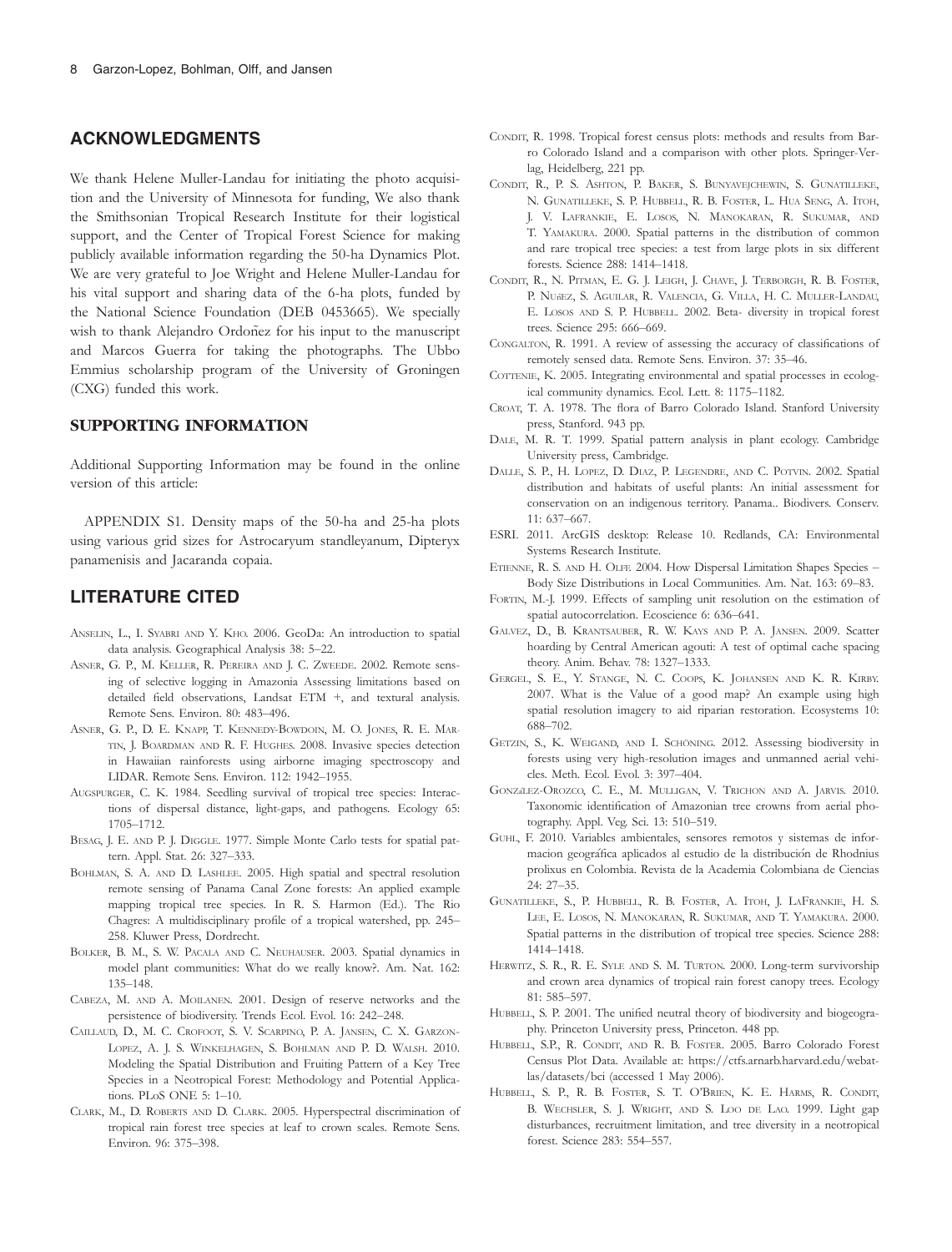## ACKNOWLEDGMENTS

We thank Helene Muller-Landau for initiating the photo acquisition and the University of Minnesota for funding, We also thank the Smithsonian Tropical Research Institute for their logistical support, and the Center of Tropical Forest Science for making publicly available information regarding the 50-ha Dynamics Plot. We are very grateful to Joe Wright and Helene Muller-Landau for his vital support and sharing data of the 6-ha plots, funded by the National Science Foundation (DEB 0453665). We specially wish to thank Alejandro Ordoñez for his input to the manuscript and Marcos Guerra for taking the photographs. The Ubbo Emmius scholarship program of the University of Groningen (CXG) funded this work.

## SUPPORTING INFORMATION

Additional Supporting Information may be found in the online version of this article:

APPENDIX S1. Density maps of the 50-ha and 25-ha plots using various grid sizes for Astrocaryum standleyanum, Dipteryx panamenisis and Jacaranda copaia.

# LITERATURE CITED

- ANSELIN, L., I. SYABRI AND Y. KHO. 2006. GeoDa: An introduction to spatial data analysis. Geographical Analysis 38: 5–22.
- ASNER, G. P., M. KELLER, R. PEREIRA AND J. C. ZWEEDE. 2002. Remote sensing of selective logging in Amazonia Assessing limitations based on detailed field observations, Landsat ETM +, and textural analysis. Remote Sens. Environ. 80: 483–496.
- ASNER, G. P., D. E. KNAPP, T. KENNEDY-BOWDOIN, M. O. JONES, R. E. MAR-TIN, J. BOARDMAN AND R. F. HUGHES. 2008. Invasive species detection in Hawaiian rainforests using airborne imaging spectroscopy and LIDAR. Remote Sens. Environ. 112: 1942–1955.
- AUGSPURGER, C. K. 1984. Seedling survival of tropical tree species: Interactions of dispersal distance, light-gaps, and pathogens. Ecology 65: 1705–1712.
- BESAG, J. E. AND P. J. DIGGLE. 1977. Simple Monte Carlo tests for spatial pattern. Appl. Stat. 26: 327–333.
- BOHLMAN, S. A. AND D. LASHLEE. 2005. High spatial and spectral resolution remote sensing of Panama Canal Zone forests: An applied example mapping tropical tree species. In R. S. Harmon (Ed.). The Rio Chagres: A multidisciplinary profile of a tropical watershed, pp. 245– 258. Kluwer Press, Dordrecht.
- BOLKER, B. M., S. W. PACALA AND C. NEUHAUSER. 2003. Spatial dynamics in model plant communities: What do we really know?. Am. Nat. 162: 135–148.
- CABEZA, M. AND A. MOILANEN. 2001. Design of reserve networks and the persistence of biodiversity. Trends Ecol. Evol. 16: 242–248.
- CAILLAUD, D., M. C. CROFOOT, S. V. SCARPINO, P. A. JANSEN, C. X. GARZON-LOPEZ, A. J. S. WINKELHAGEN, S. BOHLMAN AND P. D. WALSH. 2010. Modeling the Spatial Distribution and Fruiting Pattern of a Key Tree Species in a Neotropical Forest: Methodology and Potential Applications. PLoS ONE 5: 1–10.
- CLARK, M., D. ROBERTS AND D. CLARK. 2005. Hyperspectral discrimination of tropical rain forest tree species at leaf to crown scales. Remote Sens. Environ. 96: 375–398.
- CONDIT, R. 1998. Tropical forest census plots: methods and results from Barro Colorado Island and a comparison with other plots. Springer-Verlag, Heidelberg, 221 pp.
- CONDIT, R., P. S. ASHTON, P. BAKER, S. BUNYAVEJCHEWIN, S. GUNATILLEKE, N. GUNATILLEKE, S. P. HUBBELL, R. B. FOSTER, L. HUA SENG, A. ITOH, J. V. LAFRANKIE, E. LOSOS, N. MANOKARAN, R. SUKUMAR, AND T. YAMAKURA. 2000. Spatial patterns in the distribution of common and rare tropical tree species: a test from large plots in six different forests. Science 288: 1414–1418.
- CONDIT, R., N. PITMAN, E. G. J. LEIGH, J. CHAVE, J. TERBORGH, R. B. FOSTER, P. NUAEZ, S. AGUILAR, R. VALENCIA, G. VILLA, H. C. MULLER-LANDAU, E. LOSOS AND S. P. HUBBELL. 2002. Beta- diversity in tropical forest trees. Science 295: 666–669.
- CONGALTON, R. 1991. A review of assessing the accuracy of classifications of remotely sensed data. Remote Sens. Environ. 37: 35–46.
- COTTENIE, K. 2005. Integrating environmental and spatial processes in ecological community dynamics. Ecol. Lett. 8: 1175–1182.
- CROAT, T. A. 1978. The flora of Barro Colorado Island. Stanford University press, Stanford. 943 pp.
- DALE, M. R. T. 1999. Spatial pattern analysis in plant ecology. Cambridge University press, Cambridge.
- DALLE, S. P., H. LOPEZ, D. DIAZ, P. LEGENDRE, AND C. POTVIN. 2002. Spatial distribution and habitats of useful plants: An initial assessment for conservation on an indigenous territory. Panama.. Biodivers. Conserv. 11: 637–667.
- ESRI. 2011. ArcGIS desktop: Release 10. Redlands, CA: Environmental Systems Research Institute.
- ETIENNE, R. S. AND H. OLFF. 2004. How Dispersal Limitation Shapes Species Body Size Distributions in Local Communities. Am. Nat. 163: 69–83.
- FORTIN, M.-J. 1999. Effects of sampling unit resolution on the estimation of spatial autocorrelation. Ecoscience 6: 636–641.
- GALVEZ, D., B. KRANTSAUBER, R. W. KAYS AND P. A. JANSEN. 2009. Scatter hoarding by Central American agouti: A test of optimal cache spacing theory. Anim. Behav. 78: 1327–1333.
- GERGEL, S. E., Y. STANGE, N. C. COOPS, K. JOHANSEN AND K. R. KIRBY. 2007. What is the Value of a good map? An example using high spatial resolution imagery to aid riparian restoration. Ecosystems 10: 688–702.
- GETZIN, S., K. WEIGAND, AND I. SCHÖNING. 2012. Assessing biodiversity in forests using very high-resolution images and unmanned aerial vehicles. Meth. Ecol. Evol. 3: 397–404.
- GONZÁLEZ-OROZCO, C. E., M. MULLIGAN, V. TRICHON AND A. JARVIS. 2010. Taxonomic identification of Amazonian tree crowns from aerial photography. Appl. Veg. Sci. 13: 510–519.
- GUHL, F. 2010. Variables ambientales, sensores remotos y sistemas de informacion geográfica aplicados al estudio de la distribución de Rhodnius prolixus en Colombia. Revista de la Academia Colombiana de Ciencias 24: 27–35.
- GUNATILLEKE, S., P. HUBBELL, R. B. FOSTER, A. ITOH, J. LAFRANKIE, H. S. LEE, E. LOSOS, N. MANOKARAN, R. SUKUMAR, AND T. YAMAKURA. 2000. Spatial patterns in the distribution of tropical tree species. Science 288: 1414–1418.
- HERWITZ, S. R., R. E. SYLE AND S. M. TURTON. 2000. Long-term survivorship and crown area dynamics of tropical rain forest canopy trees. Ecology 81: 585–597.
- HUBBELL, S. P. 2001. The unified neutral theory of biodiversity and biogeography. Princeton University press, Princeton. 448 pp.
- HUBBELL, S.P., R. CONDIT, AND R. B. FOSTER. 2005. Barro Colorado Forest Census Plot Data. Available at: https://ctfs.arnarb.harvard.edu/webatlas/datasets/bci (accessed 1 May 2006).
- HUBBELL, S. P., R. B. FOSTER, S. T. O'BRIEN, K. E. HARMS, R. CONDIT, B. WECHSLER, S. J. WRIGHT, AND S. LOO DE LAO. 1999. Light gap disturbances, recruitment limitation, and tree diversity in a neotropical forest. Science 283: 554–557.